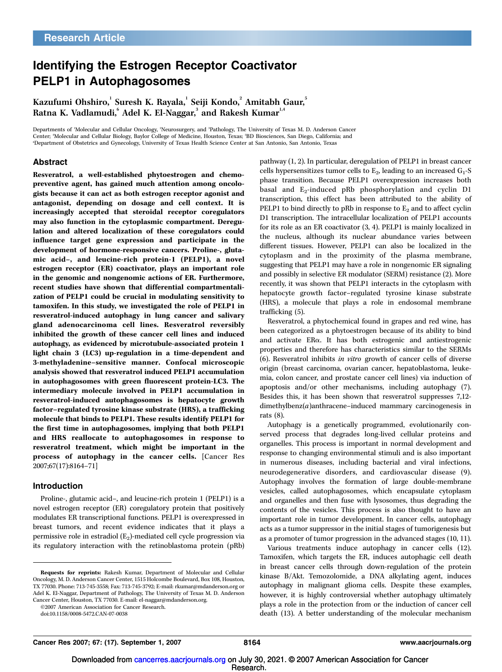# Identifying the Estrogen Receptor Coactivator PELP1 in Autophagosomes

Kazufumi Ohshiro, $^1$  Suresh K. Rayala, $^1$  Seiji Kondo, $^2$  Amitabh Gaur, $^5$ Ratna K. Vadlamudi, $^{\circ}$  Adel K. El-Naggar, $^{\scriptscriptstyle 3}$  and Rakesh Kumar $^{\scriptscriptstyle 1,4}$ 

Departments of <sup>1</sup>Molecular and Cellular Oncology, <sup>2</sup>Neurosurgery, and <sup>3</sup>Pathology, The University of Texas M. D. Anderson Cancer Center; <sup>4</sup>Molecular and Cellular Biology, Baylor College of Medicine, Houston, Texas; <sup>5</sup>BD Biosciences, San Diego, California; and <sup>6</sup>Department of Obstetrics and Gynecology, University of Texas Health Science Center at San Antonio, San Antonio, Texas

## Abstract

Resveratrol, a well-established phytoestrogen and chemopreventive agent, has gained much attention among oncologists because it can act as both estrogen receptor agonist and antagonist, depending on dosage and cell context. It is increasingly accepted that steroidal receptor coregulators may also function in the cytoplasmic compartment. Deregulation and altered localization of these coregulators could influence target gene expression and participate in the development of hormone-responsive cancers. Proline-, glutamic acid–, and leucine-rich protein-1(PELP1), a novel estrogen receptor (ER) coactivator, plays an important role in the genomic and nongenomic actions of ER. Furthermore, recent studies have shown that differential compartmentalization of PELP1 could be crucial in modulating sensitivity to tamoxifen. In this study, we investigated the role of PELP1 in resveratrol-induced autophagy in lung cancer and salivary gland adenocarcinoma cell lines. Resveratrol reversibly inhibited the growth of these cancer cell lines and induced autophagy, as evidenced by microtubule-associated protein 1 light chain 3 (LC3) up-regulation in a time-dependent and 3-methyladenine–sensitive manner. Confocal microscopic analysis showed that resveratrol induced PELP1 accumulation in autophagosomes with green fluorescent protein-LC3. The intermediary molecule involved in PELP1 accumulation in resveratrol-induced autophagosomes is hepatocyte growth factor–regulated tyrosine kinase substrate (HRS), a trafficking molecule that binds to PELP1. These results identify PELP1 for the first time in autophagosomes, implying that both PELP1 and HRS reallocate to autophagosomes in response to resveratrol treatment, which might be important in the process of autophagy in the cancer cells. [Cancer Res 2007;67(17):8164–71]

### Introduction

Proline-, glutamic acid–, and leucine-rich protein 1 (PELP1) is a novel estrogen receptor (ER) coregulatory protein that positively modulates ER transcriptional functions. PELP1 is overexpressed in breast tumors, and recent evidence indicates that it plays a  $permissible$  role in estradiol  $(E_2)$ -mediated cell cycle progression via its regulatory interaction with the retinoblastoma protein (pRb)

©2007 American Association for Cancer Research.

pathway (1, 2). In particular, deregulation of PELP1 in breast cancer cells hypersensitizes tumor cells to  $E_2$ , leading to an increased  $G_1$ -S phase transition. Because PELP1 overexpression increases both basal and E<sub>2</sub>-induced pRb phosphorylation and cyclin D1 transcription, this effect has been attributed to the ability of PELP1 to bind directly to pRb in response to  $E<sub>2</sub>$  and to affect cyclin D1 transcription. The intracellular localization of PELP1 accounts for its role as an ER coactivator (3, 4). PELP1 is mainly localized in the nucleus, although its nuclear abundance varies between different tissues. However, PELP1 can also be localized in the cytoplasm and in the proximity of the plasma membrane, suggesting that PELP1 may have a role in nongenomic ER signaling and possibly in selective ER modulator (SERM) resistance (2). More recently, it was shown that PELP1 interacts in the cytoplasm with hepatocyte growth factor–regulated tyrosine kinase substrate (HRS), a molecule that plays a role in endosomal membrane trafficking (5).

Resveratrol, a phytochemical found in grapes and red wine, has been categorized as a phytoestrogen because of its ability to bind and activate ERa. It has both estrogenic and antiestrogenic properties and therefore has characteristics similar to the SERMs (6). Resveratrol inhibits in vitro growth of cancer cells of diverse origin (breast carcinoma, ovarian cancer, hepatoblastoma, leukemia, colon cancer, and prostate cancer cell lines) via induction of apoptosis and/or other mechanisms, including autophagy (7). Besides this, it has been shown that resveratrol suppresses 7,12 dimethylbenz(*a*)anthracene–induced mammary carcinogenesis in rats (8).

Autophagy is a genetically programmed, evolutionarily conserved process that degrades long-lived cellular proteins and organelles. This process is important in normal development and response to changing environmental stimuli and is also important in numerous diseases, including bacterial and viral infections, neurodegenerative disorders, and cardiovascular disease (9). Autophagy involves the formation of large double-membrane vesicles, called autophagosomes, which encapsulate cytoplasm and organelles and then fuse with lysosomes, thus degrading the contents of the vesicles. This process is also thought to have an important role in tumor development. In cancer cells, autophagy acts as a tumor suppressor in the initial stages of tumorigenesis but as a promoter of tumor progression in the advanced stages (10, 11).

Various treatments induce autophagy in cancer cells (12). Tamoxifen, which targets the ER, induces autophagic cell death in breast cancer cells through down-regulation of the protein kinase B/Akt. Temozolomide, a DNA alkylating agent, induces autophagy in malignant glioma cells. Despite these examples, however, it is highly controversial whether autophagy ultimately plays a role in the protection from or the induction of cancer cell death (13). A better understanding of the molecular mechanism

Requests for reprints: Rakesh Kumar, Department of Molecular and Cellular Oncology, M. D. Anderson Cancer Center, 1515 Holcombe Boulevard, Box108, Houston, TX 77030. Phone: 713-745-3558; Fax: 713-745-3792; E-mail: rkumar@mdanderson.org or Adel K. El-Naggar, Department of Pathology, The University of Texas M. D. Anderson Cancer Center, Houston, TX 77030. E-mail: el-naggar@mdanderson.org.

doi:10.1158/0008-5472.CAN-07-0038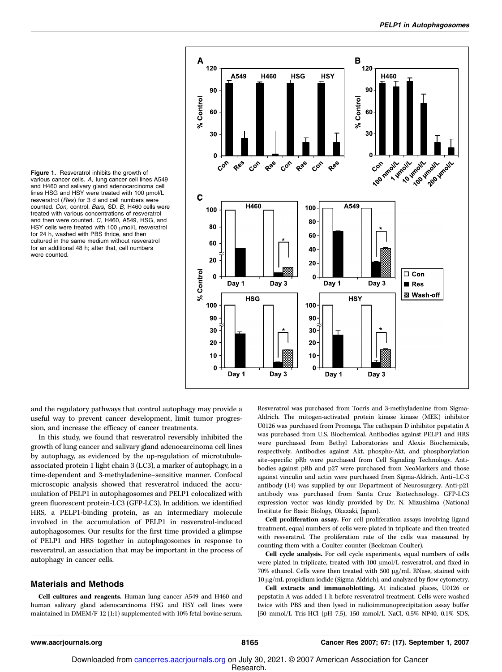Figure 1. Resveratrol inhibits the growth of various cancer cells. A, lung cancer cell lines A549 and H460 and salivary gland adenocarcinoma cell lines HSG and HSY were treated with 100 umol/L resveratrol (Res) for 3 d and cell numbers were counted. Con, control. Bars, SD. B, H460 cells were treated with various concentrations of resveratrol and then were counted. C, H460, A549, HSG, and HSY cells were treated with 100  $\mu$ mol/L resveratrol for 24 h, washed with PBS thrice, and then cultured in the same medium without resveratrol for an additional 48 h; after that, cell numbers were counted.



and the regulatory pathways that control autophagy may provide a useful way to prevent cancer development, limit tumor progression, and increase the efficacy of cancer treatments.

In this study, we found that resveratrol reversibly inhibited the growth of lung cancer and salivary gland adenocarcinoma cell lines by autophagy, as evidenced by the up-regulation of microtubuleassociated protein 1 light chain 3 (LC3), a marker of autophagy, in a time-dependent and 3-methyladenine–sensitive manner. Confocal microscopic analysis showed that resveratrol induced the accumulation of PELP1 in autophagosomes and PELP1 colocalized with green fluorescent protein-LC3 (GFP-LC3). In addition, we identified HRS, a PELP1-binding protein, as an intermediary molecule involved in the accumulation of PELP1 in resveratrol-induced autophagosomes. Our results for the first time provided a glimpse of PELP1 and HRS together in autophagosomes in response to resveratrol, an association that may be important in the process of autophagy in cancer cells.

#### Materials and Methods

Cell cultures and reagents. Human lung cancer A549 and H460 and human salivary gland adenocarcinoma HSG and HSY cell lines were maintained in DMEM/F-12 (1:1) supplemented with 10% fetal bovine serum. Resveratrol was purchased from Tocris and 3-methyladenine from Sigma-Aldrich. The mitogen-activated protein kinase kinase (MEK) inhibitor U0126 was purchased from Promega. The cathepsin D inhibitor pepstatin A was purchased from U.S. Biochemical. Antibodies against PELP1 and HRS were purchased from Bethyl Laboratories and Alexis Biochemicals, respectively. Antibodies against Akt, phospho-Akt, and phosphorylation site–specific pRb were purchased from Cell Signaling Technology. Antibodies against pRb and p27 were purchased from NeoMarkers and those against vinculin and actin were purchased from Sigma-Aldrich. Anti–LC-3 antibody (14) was supplied by our Department of Neurosurgery. Anti-p21 antibody was purchased from Santa Cruz Biotechnology. GFP-LC3 expression vector was kindly provided by Dr. N. Mizushima (National Institute for Basic Biology, Okazaki, Japan).

Cell proliferation assay. For cell proliferation assays involving ligand treatment, equal numbers of cells were plated in triplicate and then treated with resveratrol. The proliferation rate of the cells was measured by counting them with a Coulter counter (Beckman Coulter).

Cell cycle analysis. For cell cycle experiments, equal numbers of cells were plated in triplicate, treated with  $100 \mu$ mol/L resveratrol, and fixed in  $70\%$  ethanol. Cells were then treated with  $500 \mu g/mL$  RNase, stained with 10 Ag/mL propidium iodide (Sigma-Aldrich), and analyzed by flow cytometry.

Cell extracts and immunoblotting. At indicated places, U0126 or pepstatin A was added 1 h before resveratrol treatment. Cells were washed twice with PBS and then lysed in radioimmunoprecipitation assay buffer [50 mmol/L Tris-HCl (pH 7.5), 150 mmol/L NaCl, 0.5% NP40, 0.1% SDS,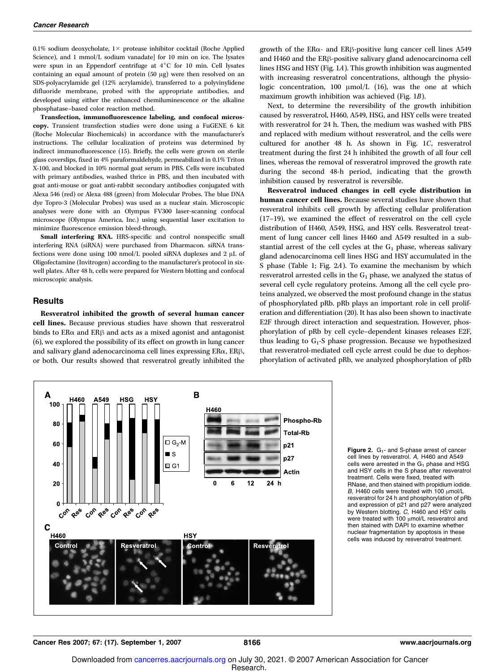0.1% sodium deoxycholate,  $1 \times$  protease inhibitor cocktail (Roche Applied Science), and 1 mmol/L sodium vanadate] for 10 min on ice. The lysates were spun in an Eppendorf centrifuge at 4°C for 10 min. Cell lysates containing an equal amount of protein  $(50 \mu g)$  were then resolved on an SDS-polyacrylamide gel (12% acrylamide), transferred to a polyvinylidene difluoride membrane, probed with the appropriate antibodies, and developed using either the enhanced chemiluminescence or the alkaline phosphatase–based color reaction method.

Transfection, immunofluorescence labeling, and confocal microscopy. Transient transfection studies were done using a FuGENE 6 kit (Roche Molecular Biochemicals) in accordance with the manufacturer's instructions. The cellular localization of proteins was determined by indirect immunofluorescence (15). Briefly, the cells were grown on sterile glass coverslips, fixed in 4% paraformaldehyde, permeabilized in 0.1% Triton X-100, and blocked in 10% normal goat serum in PBS. Cells were incubated with primary antibodies, washed thrice in PBS, and then incubated with goat anti-mouse or goat anti-rabbit secondary antibodies conjugated with Alexa 546 (red) or Alexa 488 (green) from Molecular Probes. The blue DNA dye Topro-3 (Molecular Probes) was used as a nuclear stain. Microscopic analyses were done with an Olympus FV300 laser-scanning confocal microscope (Olympus America, Inc.) using sequential laser excitation to minimize fluorescence emission bleed-through.

Small interfering RNA. HRS-specific and control nonspecific small interfering RNA (siRNA) were purchased from Dharmacon. siRNA transfections were done using 100 nmol/L pooled siRNA duplexes and 2  $\upmu$ L of Oligofectamine (Invitrogen) according to the manufacturer's protocol in sixwell plates. After 48 h, cells were prepared for Western blotting and confocal microscopic analysis.

#### **Results**

Resveratrol inhibited the growth of several human cancer cell lines. Because previous studies have shown that resveratrol binds to  $ER\alpha$  and  $ER\beta$  and acts as a mixed agonist and antagonist (6), we explored the possibility of its effect on growth in lung cancer and salivary gland adenocarcinoma cell lines expressing  $ER\alpha$ ,  $ER\beta$ , or both. Our results showed that resveratrol greatly inhibited the



Next, to determine the reversibility of the growth inhibition caused by resveratrol, H460, A549, HSG, and HSY cells were treated with resveratrol for 24 h. Then, the medium was washed with PBS and replaced with medium without resveratrol, and the cells were cultured for another 48 h. As shown in Fig. 1C, resveratrol treatment during the first 24 h inhibited the growth of all four cell lines, whereas the removal of resveratrol improved the growth rate during the second 48-h period, indicating that the growth inhibition caused by resveratrol is reversible.

Resveratrol induced changes in cell cycle distribution in human cancer cell lines. Because several studies have shown that resveratrol inhibits cell growth by affecting cellular proliferation (17–19), we examined the effect of resveratrol on the cell cycle distribution of H460, A549, HSG, and HSY cells. Resveratrol treatment of lung cancer cell lines H460 and A549 resulted in a substantial arrest of the cell cycles at the  $G_1$  phase, whereas salivary gland adenocarcinoma cell lines HSG and HSY accumulated in the S phase (Table 1; Fig. 2A). To examine the mechanism by which resveratrol arrested cells in the  $G_1$  phase, we analyzed the status of several cell cycle regulatory proteins. Among all the cell cycle proteins analyzed, we observed the most profound change in the status of phosphorylated pRb. pRb plays an important role in cell proliferation and differentiation (20). It has also been shown to inactivate E2F through direct interaction and sequestration. However, phosphorylation of pRb by cell cycle–dependent kinases releases E2F, thus leading to G<sub>1</sub>-S phase progression. Because we hypothesized that resveratrol-mediated cell cycle arrest could be due to dephosphorylation of activated pRb, we analyzed phosphorylation of pRb



**Figure 2.**  $G_1$ - and S-phase arrest of cancer cell lines by resveratrol. A, H460 and A549 cells were arrested in the  $G_1$  phase and HSG and HSY cells in the S phase after resveratrol treatment. Cells were fixed, treated with RNase, and then stained with propidium iodide. B, H460 cells were treated with 100  $\mu$ mol/L resveratrol for 24 h and phosphorylation of pRb and expression of p21 and p27 were analyzed by Western blotting. C, H460 and HSY cells were treated with 100  $\mu$ mol/L resveratrol and then stained with DAPI to examine whether nuclear fragmentation by apoptosis in these cells was induced by resveratrol treatment.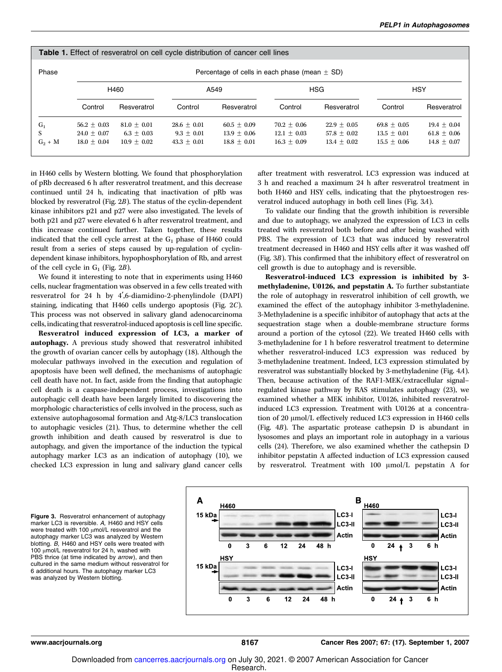| <b>Table 1.</b> Effect of resveratrol on cell cycle distribution of cancer cell lines |               |               |                                                   |               |               |               |               |               |  |  |
|---------------------------------------------------------------------------------------|---------------|---------------|---------------------------------------------------|---------------|---------------|---------------|---------------|---------------|--|--|
| Phase                                                                                 |               |               | Percentage of cells in each phase (mean $\pm$ SD) |               |               |               |               |               |  |  |
|                                                                                       | H460          |               | A549                                              |               | <b>HSG</b>    |               | <b>HSY</b>    |               |  |  |
|                                                                                       | Control       | Resveratrol   | Control                                           | Resveratrol   | Control       | Resveratrol   | Control       | Resveratrol   |  |  |
| $G_1$                                                                                 | $56.2 + 0.03$ | $81.0 + 0.01$ | $28.6 + 0.01$                                     | $60.5 + 0.09$ | $70.2 + 0.06$ | $22.9 + 0.05$ | $69.8 + 0.05$ | $19.4 + 0.04$ |  |  |
| S                                                                                     | $24.0 + 0.07$ | $6.3 + 0.03$  | $9.3 + 0.01$                                      | $13.9 + 0.06$ | $12.1 + 0.03$ | $57.8 + 0.02$ | $13.5 + 0.01$ | $61.8 + 0.06$ |  |  |
| $G_2 + M$                                                                             | $18.0 + 0.04$ | $10.9 + 0.02$ | $43.3 + 0.01$                                     | $18.8 + 0.01$ | $16.3 + 0.09$ | $13.4 + 0.02$ | $15.5 + 0.06$ | $14.8 + 0.07$ |  |  |

in H460 cells by Western blotting. We found that phosphorylation of pRb decreased 6 h after resveratrol treatment, and this decrease continued until 24 h, indicating that inactivation of pRb was blocked by resveratrol (Fig. 2B). The status of the cyclin-dependent kinase inhibitors p21 and p27 were also investigated. The levels of both p21 and p27 were elevated 6 h after resveratrol treatment, and this increase continued further. Taken together, these results indicated that the cell cycle arrest at the  $G_1$  phase of H460 could result from a series of steps caused by up-regulation of cyclindependent kinase inhibitors, hypophosphorylation of Rb, and arrest of the cell cycle in  $G_1$  (Fig. 2B).

We found it interesting to note that in experiments using H460 cells, nuclear fragmentation was observed in a few cells treated with resveratrol for 24 h by  $4'$ , 6-diamidino-2-phenylindole (DAPI) staining, indicating that H460 cells undergo apoptosis (Fig. 2C). This process was not observed in salivary gland adenocarcinoma cells, indicating that resveratrol-induced apoptosis is cell line specific.

Resveratrol induced expression of LC3, a marker of autophagy. A previous study showed that resveratrol inhibited the growth of ovarian cancer cells by autophagy (18). Although the molecular pathways involved in the execution and regulation of apoptosis have been well defined, the mechanisms of autophagic cell death have not. In fact, aside from the finding that autophagic cell death is a caspase-independent process, investigations into autophagic cell death have been largely limited to discovering the morphologic characteristics of cells involved in the process, such as extensive autophagosomal formation and Atg-8/LC3 translocation to autophagic vesicles (21). Thus, to determine whether the cell growth inhibition and death caused by resveratrol is due to autophagy, and given the importance of the induction the typical autophagy marker LC3 as an indication of autophagy (10), we checked LC3 expression in lung and salivary gland cancer cells

after treatment with resveratrol. LC3 expression was induced at 3 h and reached a maximum 24 h after resveratrol treatment in both H460 and HSY cells, indicating that the phytoestrogen resveratrol induced autophagy in both cell lines (Fig. 3A).

To validate our finding that the growth inhibition is reversible and due to autophagy, we analyzed the expression of LC3 in cells treated with resveratrol both before and after being washed with PBS. The expression of LC3 that was induced by resveratrol treatment decreased in H460 and HSY cells after it was washed off (Fig. 3B). This confirmed that the inhibitory effect of resveratrol on cell growth is due to autophagy and is reversible.

Resveratrol-induced LC3 expression is inhibited by 3 methyladenine, U0126, and pepstatin A. To further substantiate the role of autophagy in resveratrol inhibition of cell growth, we examined the effect of the autophagy inhibitor 3-methyladenine. 3-Methyladenine is a specific inhibitor of autophagy that acts at the sequestration stage when a double-membrane structure forms around a portion of the cytosol (22). We treated H460 cells with 3-methyladenine for 1 h before resveratrol treatment to determine whether resveratrol-induced LC3 expression was reduced by 3-methyladenine treatment. Indeed, LC3 expression stimulated by resveratrol was substantially blocked by 3-methyladenine (Fig. 4A). Then, because activation of the RAF1-MEK/extracellular signal– regulated kinase pathway by RAS stimulates autophagy (23), we examined whether a MEK inhibitor, U0126, inhibited resveratrolinduced LC3 expression. Treatment with U0126 at a concentration of 20  $\mu$ mol/L effectively reduced LC3 expression in H460 cells (Fig. 4B). The aspartatic protease cathepsin D is abundant in lysosomes and plays an important role in autophagy in a various cells (24). Therefore, we also examined whether the cathepsin D inhibitor pepstatin A affected induction of LC3 expression caused by resveratrol. Treatment with 100 µmol/L pepstatin A for

Fiaure 3. Resveratrol enhancement of autophagy marker LC3 is reversible. A, H460 and HSY cells were treated with 100  $\mu$ mol/L resveratrol and the autophagy marker LC3 was analyzed by Western blotting. B, H460 and HSY cells were treated with 100  $\mu$ mol/L resveratrol for 24 h, washed with PBS thrice (at time indicated by arrow), and then cultured in the same medium without resveratrol for 6 additional hours. The autophagy marker LC3 was analyzed by Western blotting.

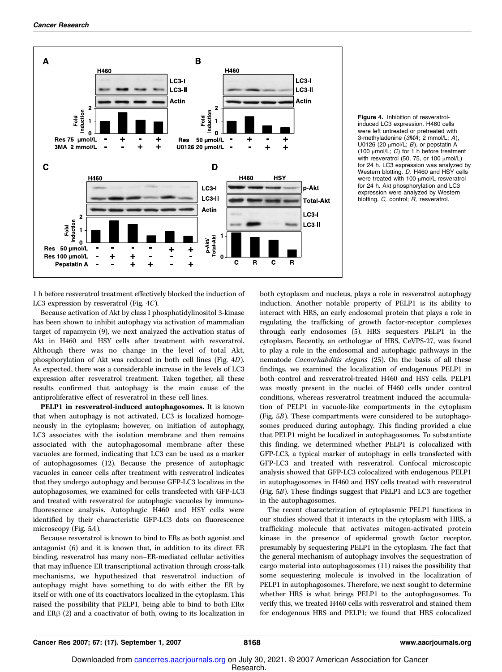

Figure 4. Inhibition of resveratrolinduced LC3 expression. H460 cells were left untreated or pretreated with 3-methyladenine (3MA; 2 mmol/L; A), U0126 (20  $\mu$ mol/L; B), or pepstatin A (100  $\mu$ mol/L; C) for 1 h before treatment with resveratrol (50, 75, or 100  $\mu$ mol/L) for 24 h. LC3 expression was analyzed by Western blotting. D, H460 and HSY cells were treated with 100  $\mu$ mol/L resveratrol for 24 h. Akt phosphorylation and LC3 expression were analyzed by Western blotting. C, control; R, resveratrol.

1 h before resveratrol treatment effectively blocked the induction of LC3 expression by resveratrol (Fig. 4C).

Because activation of Akt by class I phosphatidylinositol 3-kinase has been shown to inhibit autophagy via activation of mammalian target of rapamycin (9), we next analyzed the activation status of Akt in H460 and HSY cells after treatment with resveratrol. Although there was no change in the level of total Akt, phosphorylation of Akt was reduced in both cell lines (Fig. 4D). As expected, there was a considerable increase in the levels of LC3 expression after resveratrol treatment. Taken together, all these results confirmed that autophagy is the main cause of the antiproliferative effect of resveratrol in these cell lines.

**PELP1** in resveratrol-induced autophagosomes. It is known that when autophagy is not activated, LC3 is localized homogeneously in the cytoplasm; however, on initiation of autophagy, LC3 associates with the isolation membrane and then remains associated with the autophagosomal membrane after these vacuoles are formed, indicating that LC3 can be used as a marker of autophagosomes (12). Because the presence of autophagic vacuoles in cancer cells after treatment with resveratrol indicates that they undergo autophagy and because GFP-LC3 localizes in the autophagosomes, we examined for cells transfected with GFP-LC3 and treated with resveratrol for autophagic vacuoles by immunofluorescence analysis. Autophagic H460 and HSY cells were identified by their characteristic GFP-LC3 dots on fluorescence microscopy (Fig. 5A).

Because resveratrol is known to bind to ERs as both agonist and antagonist (6) and it is known that, in addition to its direct ER binding, resveratrol has many non–ER-mediated cellular activities that may influence ER transcriptional activation through cross-talk mechanisms, we hypothesized that resveratrol induction of autophagy might have something to do with either the ER by itself or with one of its coactivators localized in the cytoplasm. This raised the possibility that PELP1, being able to bind to both  $ER\alpha$ and  $ER\beta$  (2) and a coactivator of both, owing to its localization in

both cytoplasm and nucleus, plays a role in resveratrol autophagy induction. Another notable property of PELP1 is its ability to interact with HRS, an early endosomal protein that plays a role in regulating the trafficking of growth factor-receptor complexes through early endosomes (5). HRS sequesters PELP1 in the cytoplasm. Recently, an orthologue of HRS, CeVPS-27, was found to play a role in the endosomal and autophagic pathways in the nematode Caenorhabditis elegans (25). On the basis of all these findings, we examined the localization of endogenous PELP1 in both control and resveratrol-treated H460 and HSY cells. PELP1 was mostly present in the nuclei of H460 cells under control conditions, whereas resveratrol treatment induced the accumulation of PELP1 in vacuole-like compartments in the cytoplasm (Fig. 5B). These compartments were considered to be autophagosomes produced during autophagy. This finding provided a clue that PELP1 might be localized in autophagosomes. To substantiate this finding, we determined whether PELP1 is colocalized with GFP-LC3, a typical marker of autophagy in cells transfected with GFP-LC3 and treated with resveratrol. Confocal microscopic analysis showed that GFP-LC3 colocalized with endogenous PELP1 in autophagosomes in H460 and HSY cells treated with resveratrol (Fig. 5B). These findings suggest that PELP1 and LC3 are together in the autophagosomes.

The recent characterization of cytoplasmic PELP1 functions in our studies showed that it interacts in the cytoplasm with HRS, a trafficking molecule that activates mitogen-activated protein kinase in the presence of epidermal growth factor receptor, presumably by sequestering PELP1 in the cytoplasm. The fact that the general mechanism of autophagy involves the sequestration of cargo material into autophagosomes (11) raises the possibility that some sequestering molecule is involved in the localization of PELP1 in autophagosomes. Therefore, we next sought to determine whether HRS is what brings PELP1 to the autophagosomes. To verify this, we treated H460 cells with resveratrol and stained them for endogenous HRS and PELP1; we found that HRS colocalized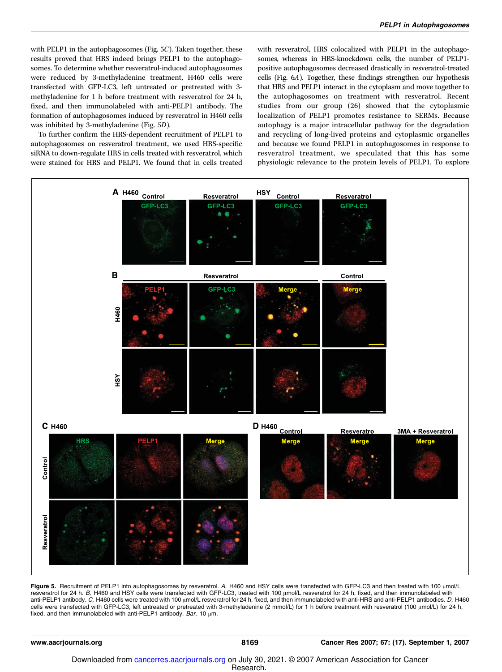with PELP1 in the autophagosomes (Fig. 5C). Taken together, these results proved that HRS indeed brings PELP1 to the autophagosomes. To determine whether resveratrol-induced autophagosomes were reduced by 3-methyladenine treatment, H460 cells were transfected with GFP-LC3, left untreated or pretreated with 3 methyladenine for 1 h before treatment with resveratrol for 24 h, fixed, and then immunolabeled with anti-PELP1 antibody. The formation of autophagosomes induced by resveratrol in H460 cells was inhibited by 3-methyladenine (Fig. 5D).

To further confirm the HRS-dependent recruitment of PELP1 to autophagosomes on resveratrol treatment, we used HRS-specific siRNA to down-regulate HRS in cells treated with resveratrol, which were stained for HRS and PELP1. We found that in cells treated with resveratrol, HRS colocalized with PELP1 in the autophagosomes, whereas in HRS-knockdown cells, the number of PELP1 positive autophagosomes decreased drastically in resveratrol-treated cells (Fig. 6A). Together, these findings strengthen our hypothesis that HRS and PELP1 interact in the cytoplasm and move together to the autophagosomes on treatment with resveratrol. Recent studies from our group (26) showed that the cytoplasmic localization of PELP1 promotes resistance to SERMs. Because autophagy is a major intracellular pathway for the degradation and recycling of long-lived proteins and cytoplasmic organelles and because we found PELP1 in autophagosomes in response to resveratrol treatment, we speculated that this has some physiologic relevance to the protein levels of PELP1. To explore



Figure 5. Recruitment of PELP1 into autophagosomes by resveratrol. A, H460 and HSY cells were transfected with GFP-LC3 and then treated with 100 µmol/L resveratrol for 24 h. B, H460 and HSY cells were transfected with GFP-LC3, treated with 100 µmol/L resveratrol for 24 h, fixed, and then immunolabeled with anti-PELP1 antibody. C, H460 cells were treated with 100  $\mu$ mol/L resveratrol for 24 h, fixed, and then immunolabeled with anti-HRS and anti-PELP1 antibodies. D, H460 cells were transfected with GFP-LC3, left untreated or pretreated with 3-methyladenine (2 mmol/L) for 1 h before treatment with resveratrol (100 µmol/L) for 24 h, fixed, and then immunolabeled with anti-PELP1 antibody. Bar, 10  $\mu$ m.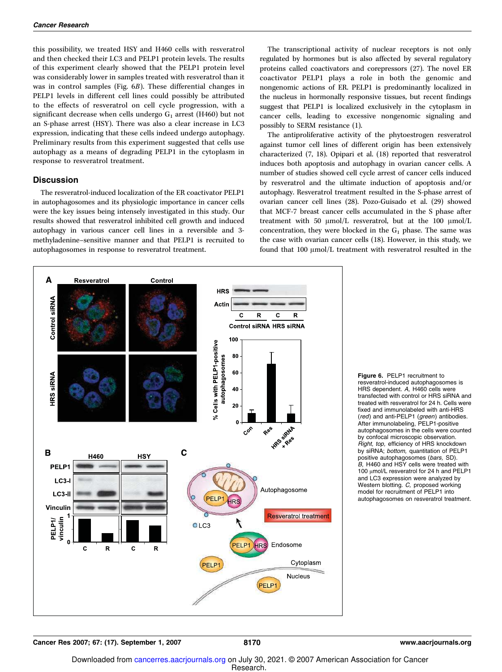this possibility, we treated HSY and H460 cells with resveratrol and then checked their LC3 and PELP1 protein levels. The results of this experiment clearly showed that the PELP1 protein level was considerably lower in samples treated with resveratrol than it was in control samples (Fig. 6B). These differential changes in PELP1 levels in different cell lines could possibly be attributed to the effects of resveratrol on cell cycle progression, with a significant decrease when cells undergo  $G_1$  arrest (H460) but not an S-phase arrest (HSY). There was also a clear increase in LC3 expression, indicating that these cells indeed undergo autophagy. Preliminary results from this experiment suggested that cells use autophagy as a means of degrading PELP1 in the cytoplasm in response to resveratrol treatment.

#### **Discussion**

The resveratrol-induced localization of the ER coactivator PELP1 in autophagosomes and its physiologic importance in cancer cells were the key issues being intensely investigated in this study. Our results showed that resveratrol inhibited cell growth and induced autophagy in various cancer cell lines in a reversible and 3 methyladenine–sensitive manner and that PELP1 is recruited to autophagosomes in response to resveratrol treatment.

The transcriptional activity of nuclear receptors is not only regulated by hormones but is also affected by several regulatory proteins called coactivators and corepressors (27). The novel ER coactivator PELP1 plays a role in both the genomic and nongenomic actions of ER. PELP1 is predominantly localized in the nucleus in hormonally responsive tissues, but recent findings suggest that PELP1 is localized exclusively in the cytoplasm in cancer cells, leading to excessive nongenomic signaling and possibly to SERM resistance (1).

The antiproliferative activity of the phytoestrogen resveratrol against tumor cell lines of different origin has been extensively characterized (7, 18). Opipari et al. (18) reported that resveratrol induces both apoptosis and autophagy in ovarian cancer cells. A number of studies showed cell cycle arrest of cancer cells induced by resveratrol and the ultimate induction of apoptosis and/or autophagy. Resveratrol treatment resulted in the S-phase arrest of ovarian cancer cell lines (28). Pozo-Guisado et al. (29) showed that MCF-7 breast cancer cells accumulated in the S phase after treatment with 50  $\mu$ mol/L resveratrol, but at the 100  $\mu$ mol/L concentration, they were blocked in the  $G_1$  phase. The same was the case with ovarian cancer cells (18). However, in this study, we found that  $100 \mu$ mol/L treatment with resveratrol resulted in the



Figure 6. PELP1 recruitment to resveratrol-induced autophagosomes is HRS dependent. A, H460 cells were transfected with control or HRS siRNA and treated with resveratrol for 24 h. Cells were fixed and immunolabeled with anti-HRS (*red*) and anti-PELP1 (*green*) antibodies.<br>After immunolabeling, PELP1-positive autophagosomes in the cells were counted by confocal microscopic observation. Right, top, efficiency of HRS knockdown by siRNA; bottom, quantitation of PELP1 positive autophagosomes (bars, SD). B, H460 and HSY cells were treated with 100  $\mu$ mol/L resveratrol for 24 h and PELP1 and LC3 expression were analyzed by Western blotting. C, proposed working model for recruitment of PELP1 into autophagosomes on resveratrol treatment.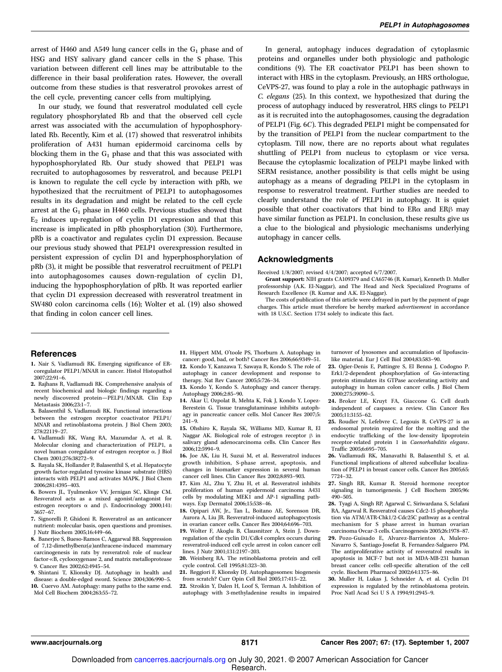arrest of H460 and A549 lung cancer cells in the  $G_1$  phase and of HSG and HSY salivary gland cancer cells in the S phase. This variation between different cell lines may be attributable to the difference in their basal proliferation rates. However, the overall outcome from these studies is that resveratrol provokes arrest of the cell cycle, preventing cancer cells from multiplying.

In our study, we found that resveratrol modulated cell cycle regulatory phosphorylated Rb and that the observed cell cycle arrest was associated with the accumulation of hypophosphorylated Rb. Recently, Kim et al. (17) showed that resveratrol inhibits proliferation of A431 human epidermoid carcinoma cells by blocking them in the  $G_1$  phase and that this was associated with hypophosphorylated Rb. Our study showed that PELP1 was recruited to autophagosomes by resveratrol, and because PELP1 is known to regulate the cell cycle by interaction with pRb, we hypothesized that the recruitment of PELP1 to autophagosomes results in its degradation and might be related to the cell cycle arrest at the  $G_1$  phase in H460 cells. Previous studies showed that E2 induces up-regulation of cyclin D1 expression and that this increase is implicated in pRb phosphorylation (30). Furthermore, pRb is a coactivator and regulates cyclin D1 expression. Because our previous study showed that PELP1 overexpression resulted in persistent expression of cyclin D1 and hyperphosphorylation of pRb (3), it might be possible that resveratrol recruitment of PELP1 into autophagosomes causes down-regulation of cyclin D1, inducing the hypophosphorylation of pRb. It was reported earlier that cyclin D1 expression decreased with resveratrol treatment in SW480 colon carcinoma cells (16); Wolter et al. (19) also showed that finding in colon cancer cell lines.

In general, autophagy induces degradation of cytoplasmic proteins and organelles under both physiologic and pathologic conditions (9). The ER coactivator PELP1 has been shown to interact with HRS in the cytoplasm. Previously, an HRS orthologue, CeVPS-27, was found to play a role in the autophagic pathways in C. elegans (25). In this context, we hypothesized that during the process of autophagy induced by resveratrol, HRS clings to PELP1 as it is recruited into the autophagosomes, causing the degradation of PELP1 (Fig. 6C). This degraded PELP1 might be compensated for by the transition of PELP1 from the nuclear compartment to the cytoplasm. Till now, there are no reports about what regulates shuttling of PELP1 from nucleus to cytoplasm or vice versa. Because the cytoplasmic localization of PELP1 maybe linked with SERM resistance, another possibility is that cells might be using autophagy as a means of degrading PELP1 in the cytoplasm in response to resveratrol treatment. Further studies are needed to clearly understand the role of PELP1 in autophagy. It is quiet possible that other coactivators that bind to  $ER\alpha$  and  $ER\beta$  may have similar function as PELP1. In conclusion, these results give us a clue to the biological and physiologic mechanisms underlying autophagy in cancer cells.

#### **Acknowledaments**

Received 1/8/2007; revised 4/4/2007; accepted 6/7/2007.

Grant support: NIH grants CA109379 and CA65746 (R. Kumar), Kenneth D. Muller professorship (A.K. El-Naggar), and The Head and Neck Specialized Programs of Research Excellence (R. Kumar and A.K. El-Naggar).

The costs of publication of this article were defrayed in part by the payment of page charges. This article must therefore be hereby marked advertisement in accordance with 18 U.S.C. Section 1734 solely to indicate this fact.

#### References

- 1. Nair S, Vadlamudi RK. Emerging significance of ERcoregulator PELP1/MNAR in cancer. Histol Histopathol 2007;22:91–6.
- 2. Rajhans R, Vadlamudi RK. Comprehensive analysis of recent biochemical and biologic findings regarding a newly discovered protein—PELP1/MNAR. Clin Exp Metastasis 2006;23:1–7.
- 3. Balasenthil S, Vadlamudi RK. Functional interactions between the estrogen receptor coactivator PELP1/ MNAR and retinoblastoma protein. J Biol Chem 2003; 278:22119–27.
- 4. Vadlamudi RK, Wang RA, Mazumdar A, et al. R. Molecular cloning and characterization of PELP1, a novel human coregulator of estrogen receptor a. J Biol Chem 2001;276:38272–9.
- 5. Rayala SK, Hollander P, Balasenthil S, et al. Hepatocyte growth factor-regulated tyrosine kinase substrate (HRS) interacts with PELP1 and activates MAPK. J Biol Chem 2006;281:4395–403.
- 6. Bowers JL, Tyulmenkov VV, Jernigan SC, Klinge CM. Resveratrol acts as a mixed agonist/antagonist for estrogen receptors  $\alpha$  and  $\beta$ . Endocrinology 2000;141: 3657–67.
- 7. Signorelli P, Ghidoni R. Resveratrol as an anticancer nutrient: molecular basis, open questions and promises. J Nutr Biochem 2005;16:449–66.
- 8. Banerjee S, Bueso-Ramos C, Aggarwal BB. Suppression of 7,12-dimethylbenz(a)anthracene-induced mammary carcinogenesis in rats by resveratrol: role of nuclear factor- $\kappa$ B, cyclooxygenase 2, and matrix metalloprotease 9. Cancer Res 2002;62:4945–54.
- 9. Shintani T, Klionsky DJ. Autophagy in health and disease: a double-edged sword. Science 2004;306:990–5. 10. Cuervo AM. Autophagy: many paths to the same end.
- Mol Cell Biochem 2004;263:55–72.
- 11. Hippert MM, O'toole PS, Thorburn A. Autophagy in cancer: good, bad, or both? Cancer Res 2006;66:9349–51.
- 12. Kondo Y, Kanzawa T, Sawaya R, Kondo S. The role of autophagy in cancer development and response to therapy. Nat Rev Cancer 2005;5:726–34.
- 13. Kondo Y, Kondo S. Autophagy and cancer therapy. Autophagy 2006;2:85–90.
- 14. Akar U, Ozpolat B, Mehta K, Fok J, Kondo Y, Lopez-Berestein G. Tissue transglutaminase inhibits autophagy in pancreatic cancer cells. Mol Cancer Res 2007;5:  $241-9$ .
- 15. Ohshiro K, Rayala SK, Williams MD, Kumar R, El Naggar AK. Biological role of estrogen receptor  $\beta$  in salivary gland adenocarcinoma cells. Clin Cancer Res 2006;12:5994–9.
- 16. Joe AK, Liu H, Suzui M, et al. Resveratrol induces growth inhibition, S-phase arrest, apoptosis, and changes in biomarker expression in several human cancer cell lines. Clin Cancer Res 2002;8:893–903.
- 17. Kim AL, Zhu Y, Zhu H, et al. Resveratrol inhibits proliferation of human epidermoid carcinoma A431 cells by modulating MEK1 and AP-1 signalling pathways. Exp Dermatol 2006;15:538–46.
- 18. Opipari AW, Jr., Tan L, Boitano AE, Sorenson DR, Aurora A, Liu JR. Resveratrol-induced autophagocytosis in ovarian cancer cells. Cancer Res 2004;64:696–703.
- 19. Wolter F, Akoglu B, Clausnitzer A, Stein J. Downregulation of the cyclin D1/Cdk4 complex occurs during resveratrol-induced cell cycle arrest in colon cancer cell lines. J Nutr 2001;131:2197–203.
- 20. Weinberg RA. The retinoblastoma protein and cell cycle control. Cell 1995;81:323–30.
- 21. Reggiori F, Klionsky DJ. Autophagosomes: biogenesis from scratch? Curr Opin Cell Biol 2005;17:415–22.
- 22. Stroikin Y, Dalen H, Loof S, Terman A. Inhibition of autophagy with 3-methyladenine results in impaired

turnover of lysosomes and accumulation of lipofuscinlike material. Eur J Cell Biol 2004;83:583–90.

- 23. Ogier-Denis E, Pattingre S, El Benna J, Codogno P. Erk1/2-dependent phosphorylation of G $\alpha$ -interacting protein stimulates its GTPase accelerating activity and autophagy in human colon cancer cells. J Biol Chem 2000;275:39090–5.
- 24. Broker LE, Kruyt FA, Giaccone G. Cell death independent of caspases: a review. Clin Cancer Res 2005;11:3155–62.
- 25. Roudier N, Lefebvre C, Legouis R. CeVPS-27 is an endosomal protein required for the molting and the endocytic trafficking of the low-density lipoprotein receptor-related protein 1 in Caenorhabditis elegans. Traffic 2005;6:695–705.
- 26. Vadlamudi RK, Manavathi B, Balasenthil S, et al. Functional implications of altered subcellular localization of PELP1 in breast cancer cells. Cancer Res 2005;65: 7724–32.
- 27. Singh RR, Kumar R. Steroid hormone receptor signaling in tumorigenesis. J Cell Biochem 2005;96: 490–505.
- 28. Tyagi A, Singh RP, Agarwal C, Siriwardana S, Sclafani RA, Agarwal R. Resveratrol causes Cdc2-15 phosphorylation via ATM/ATR-Chk1/2-Cdc25C pathway as a central mechanism for S phase arrest in human ovarian carcinoma Ovcar-3 cells. Carcinogenesis 2005;26:1978–87.
- 29. Pozo-Guisado E, Alvarez-Barrientos A, Mulero-Navarro S, Santiago-Josefat B, Fernandez-Salguero PM. The antiproliferative activity of resveratrol results in apoptosis in MCF-7 but not in MDA-MB-231 human breast cancer cells: cell-specific alteration of the cell cycle. Biochem Pharmacol 2002;64:1375–86.
- 30. Muller H, Lukas J, Schneider A, et al. Cyclin D1 expression is regulated by the retinoblastoma protein. Proc Natl Acad Sci U S A 1994;91:2945–9.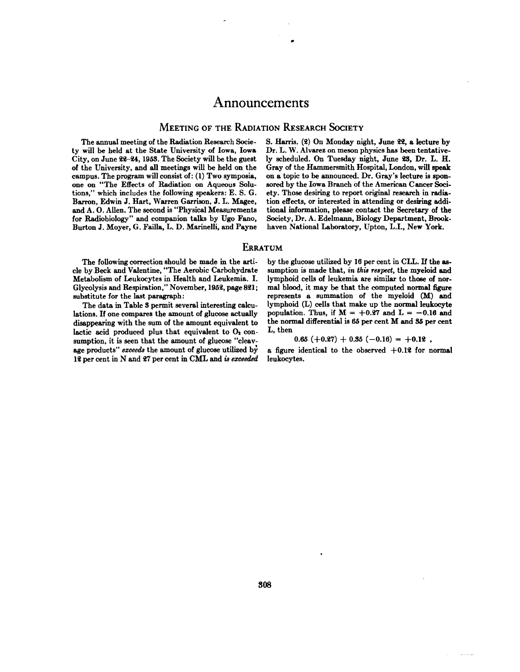# Announcements

0

## **MEETING OF THE RADIATION RESEARCH SOCIETY**

The annual meeting of the Radiation Research Socie ty will be held at the State University of Iowa, Iowa City, on June 22—24,1953. The Society will be the guest of the University, and all meetings will be held on the campus. The program will consist of: (1) Two symposia, one on "The Effects of Radiation on Aqueous Solutions," which includes the following speakers: E. S. G. Barren, Edwin J. Hart, Warren Garrison, J. L. Magee, and A.O. Allen. The second is "Physical Measurements for Radiobiology" and companion talks by Ugo Fano, Burton J. Moyer, G. Failla, L. D. Marinelli, and Payne S. Harris. (2) On Monday night, June 22, a lecture by Dr. L. W. Alvarez on meson physics has been tentative ly scheduled. On Tuesday night, June 23, Dr. L. H. Gray of the Hammersmith Hospital, London, will speak on a topic to be announced. Dr. Gray's lecture is spon sored by the Iowa Branch of the American Cancer Soci ety. Those desiring to report original research in radia tion effects, or interested in attending or desiring addi tional information, please contact the Secretary of the Society, Dr. A. Edelmann, Biology Department, Brook haven National Laboratory, Upton, L.I., New York.

#### **ERRATUM**

The following correction should be made in the arti cle by Beck and Valentine, "The Aerobic Carbohydrate Metabolism of Leukocytes in Health and Leukemia. I. Glycolysis and Respiration," November, 1952, page 821; substitute for the last paragraph:

The data in Table 3 permit several interesting calcu lations. If one compares the amount of glucose actually disappearing with the sum of the amount equivalent to lactic acid produced plus that equivalent to  $O<sub>2</sub>$  consumption, it is seen that the amount of glucose "cleavage products" exceeds the amount of glucose utilized by **12 per cent in N and 27 per cent in CML and is exceeded** by the glucose utilized by 16 per cent in CLL. If the as sumption is made that, in this respect, the myeloid and lymphoid cells of leukemia are similar to those of norma! blood, it may be that the computed normal figure represents a summation of the myeloid (M) and lymphoid (L) cells that make up the normal leukocyte population. Thus, if  $M = +0.27$  and  $L = -0.16$  and the normal differential is 65 per cent M and 35 per cent **L, then**

#### $0.65 (+0.27) + 0.35 (-0.16) = +0.12$ ,

a figure identical to the observed  $+0.12$  for normal leukocytes.